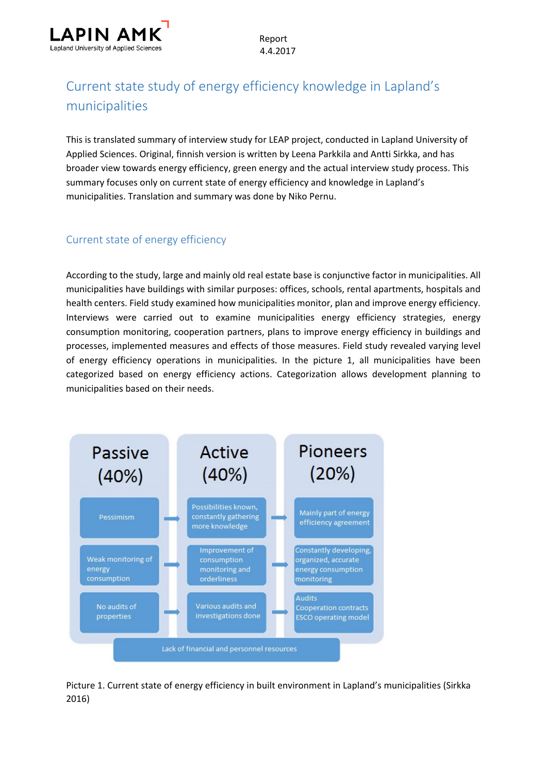

# Current state study of energy efficiency knowledge in Lapland's municipalities

This is translated summary of interview study for LEAP project, conducted in Lapland University of Applied Sciences. Original, finnish version is written by Leena Parkkila and Antti Sirkka, and has broader view towards energy efficiency, green energy and the actual interview study process. This summary focuses only on current state of energy efficiency and knowledge in Lapland's municipalities. Translation and summary was done by Niko Pernu.

### Current state of energy efficiency

According to the study, large and mainly old real estate base is conjunctive factor in municipalities. All municipalities have buildings with similar purposes: offices, schools, rental apartments, hospitals and health centers. Field study examined how municipalities monitor, plan and improve energy efficiency. Interviews were carried out to examine municipalities energy efficiency strategies, energy consumption monitoring, cooperation partners, plans to improve energy efficiency in buildings and processes, implemented measures and effects of those measures. Field study revealed varying level of energy efficiency operations in municipalities. In the picture 1, all municipalities have been categorized based on energy efficiency actions. Categorization allows development planning to municipalities based on their needs.



Picture 1. Current state of energy efficiency in built environment in Lapland's municipalities (Sirkka 2016)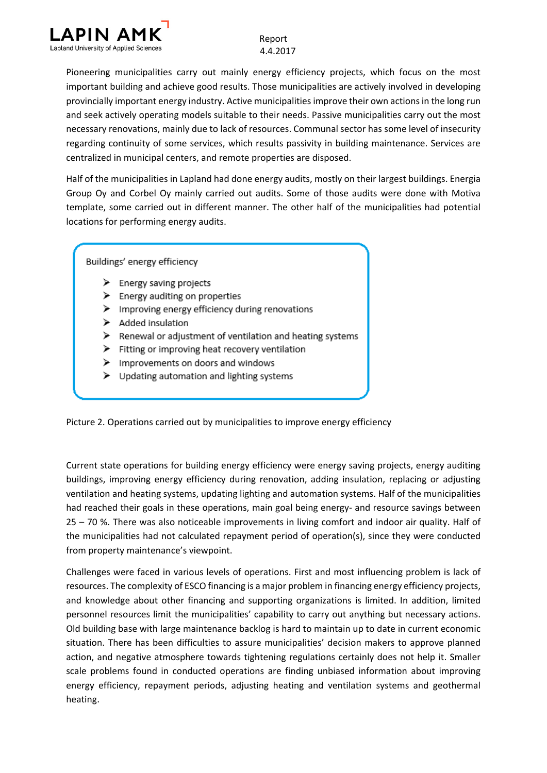

Pioneering municipalities carry out mainly energy efficiency projects, which focus on the most important building and achieve good results. Those municipalities are actively involved in developing provincially important energy industry. Active municipalities improve their own actions in the long run and seek actively operating models suitable to their needs. Passive municipalities carry out the most necessary renovations, mainly due to lack of resources. Communal sector has some level of insecurity regarding continuity of some services, which results passivity in building maintenance. Services are centralized in municipal centers, and remote properties are disposed.

Half of the municipalities in Lapland had done energy audits, mostly on their largest buildings. Energia Group Oy and Corbel Oy mainly carried out audits. Some of those audits were done with Motiva template, some carried out in different manner. The other half of the municipalities had potential locations for performing energy audits.

Buildings' energy efficiency

- $\triangleright$  Energy saving projects
- > Energy auditing on properties
- $\triangleright$  Improving energy efficiency during renovations
- > Added insulation
- Renewal or adjustment of ventilation and heating systems
- Fitting or improving heat recovery ventilation
- $\triangleright$  Improvements on doors and windows
- > Updating automation and lighting systems

Picture 2. Operations carried out by municipalities to improve energy efficiency

Current state operations for building energy efficiency were energy saving projects, energy auditing buildings, improving energy efficiency during renovation, adding insulation, replacing or adjusting ventilation and heating systems, updating lighting and automation systems. Half of the municipalities had reached their goals in these operations, main goal being energy- and resource savings between 25 – 70 %. There was also noticeable improvements in living comfort and indoor air quality. Half of the municipalities had not calculated repayment period of operation(s), since they were conducted from property maintenance's viewpoint.

Challenges were faced in various levels of operations. First and most influencing problem is lack of resources. The complexity of ESCO financing is a major problem in financing energy efficiency projects, and knowledge about other financing and supporting organizations is limited. In addition, limited personnel resources limit the municipalities' capability to carry out anything but necessary actions. Old building base with large maintenance backlog is hard to maintain up to date in current economic situation. There has been difficulties to assure municipalities' decision makers to approve planned action, and negative atmosphere towards tightening regulations certainly does not help it. Smaller scale problems found in conducted operations are finding unbiased information about improving energy efficiency, repayment periods, adjusting heating and ventilation systems and geothermal heating.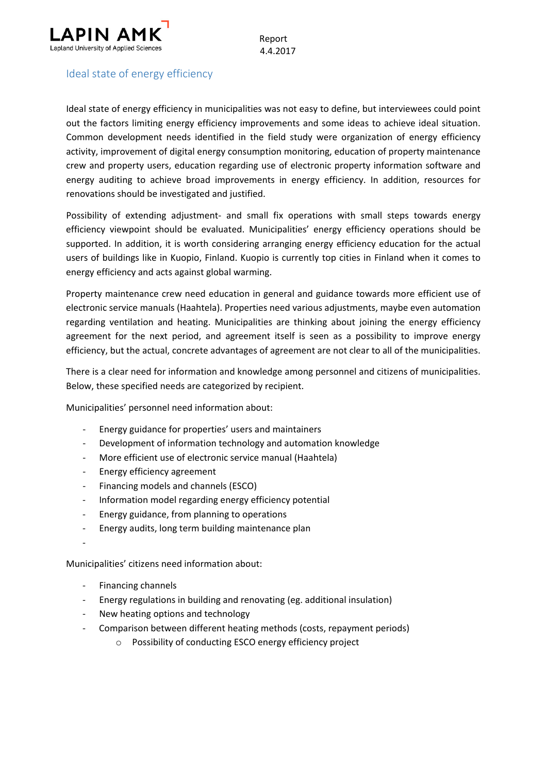

## Ideal state of energy efficiency

Ideal state of energy efficiency in municipalities was not easy to define, but interviewees could point out the factors limiting energy efficiency improvements and some ideas to achieve ideal situation. Common development needs identified in the field study were organization of energy efficiency activity, improvement of digital energy consumption monitoring, education of property maintenance crew and property users, education regarding use of electronic property information software and energy auditing to achieve broad improvements in energy efficiency. In addition, resources for renovations should be investigated and justified.

Possibility of extending adjustment- and small fix operations with small steps towards energy efficiency viewpoint should be evaluated. Municipalities' energy efficiency operations should be supported. In addition, it is worth considering arranging energy efficiency education for the actual users of buildings like in Kuopio, Finland. Kuopio is currently top cities in Finland when it comes to energy efficiency and acts against global warming.

Property maintenance crew need education in general and guidance towards more efficient use of electronic service manuals (Haahtela). Properties need various adjustments, maybe even automation regarding ventilation and heating. Municipalities are thinking about joining the energy efficiency agreement for the next period, and agreement itself is seen as a possibility to improve energy efficiency, but the actual, concrete advantages of agreement are not clear to all of the municipalities.

There is a clear need for information and knowledge among personnel and citizens of municipalities. Below, these specified needs are categorized by recipient.

Municipalities' personnel need information about:

- Energy guidance for properties' users and maintainers
- Development of information technology and automation knowledge
- More efficient use of electronic service manual (Haahtela)
- Energy efficiency agreement
- Financing models and channels (ESCO)
- Information model regarding energy efficiency potential
- Energy guidance, from planning to operations
- Energy audits, long term building maintenance plan
- -

Municipalities' citizens need information about:

- Financing channels
- Energy regulations in building and renovating (eg. additional insulation)
- New heating options and technology
- Comparison between different heating methods (costs, repayment periods)
	- o Possibility of conducting ESCO energy efficiency project